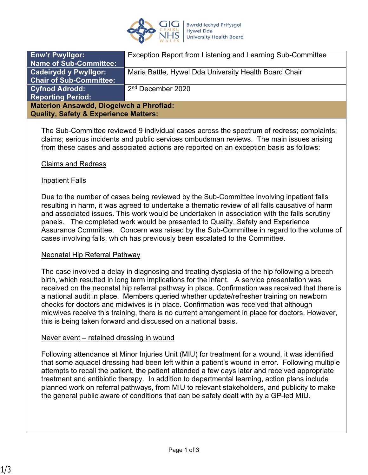

| <b>Enw'r Pwyllgor:</b>                           | Exception Report from Listening and Learning Sub-Committee |
|--------------------------------------------------|------------------------------------------------------------|
| <b>Name of Sub-Committee:</b>                    |                                                            |
| <b>Cadeirydd y Pwyllgor:</b>                     | Maria Battle, Hywel Dda University Health Board Chair      |
| <b>Chair of Sub-Committee:</b>                   |                                                            |
| <b>Cyfnod Adrodd:</b>                            | 2 <sup>nd</sup> December 2020                              |
| <b>Reporting Period:</b>                         |                                                            |
| <b>Materion Ansawdd, Diogelwch a Phrofiad:</b>   |                                                            |
| <b>Quality, Safety &amp; Experience Matters:</b> |                                                            |
|                                                  |                                                            |

The Sub-Committee reviewed 9 individual cases across the spectrum of redress; complaints; claims; serious incidents and public services ombudsman reviews. The main issues arising from these cases and associated actions are reported on an exception basis as follows:

### Claims and Redress

### Inpatient Falls

Due to the number of cases being reviewed by the Sub-Committee involving inpatient falls resulting in harm, it was agreed to undertake a thematic review of all falls causative of harm and associated issues. This work would be undertaken in association with the falls scrutiny panels. The completed work would be presented to Quality, Safety and Experience Assurance Committee. Concern was raised by the Sub-Committee in regard to the volume of cases involving falls, which has previously been escalated to the Committee.

#### Neonatal Hip Referral Pathway

The case involved a delay in diagnosing and treating dysplasia of the hip following a breech birth, which resulted in long term implications for the infant. A service presentation was received on the neonatal hip referral pathway in place. Confirmation was received that there is a national audit in place. Members queried whether update/refresher training on newborn checks for doctors and midwives is in place. Confirmation was received that although midwives receive this training, there is no current arrangement in place for doctors. However, this is being taken forward and discussed on a national basis.

#### Never event – retained dressing in wound

Following attendance at Minor Injuries Unit (MIU) for treatment for a wound, it was identified that some aquacel dressing had been left within a patient's wound in error. Following multiple attempts to recall the patient, the patient attended a few days later and received appropriate treatment and antibiotic therapy. In addition to departmental learning, action plans include planned work on referral pathways, from MIU to relevant stakeholders, and publicity to make the general public aware of conditions that can be safely dealt with by a GP-led MIU.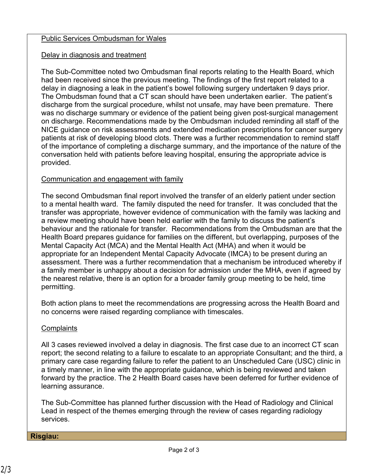# Public Services Ombudsman for Wales

# Delay in diagnosis and treatment

The Sub-Committee noted two Ombudsman final reports relating to the Health Board, which had been received since the previous meeting. The findings of the first report related to a delay in diagnosing a leak in the patient's bowel following surgery undertaken 9 days prior. The Ombudsman found that a CT scan should have been undertaken earlier. The patient's discharge from the surgical procedure, whilst not unsafe, may have been premature. There was no discharge summary or evidence of the patient being given post-surgical management on discharge. Recommendations made by the Ombudsman included reminding all staff of the NICE guidance on risk assessments and extended medication prescriptions for cancer surgery patients at risk of developing blood clots. There was a further recommendation to remind staff of the importance of completing a discharge summary, and the importance of the nature of the conversation held with patients before leaving hospital, ensuring the appropriate advice is provided.

# Communication and engagement with family

The second Ombudsman final report involved the transfer of an elderly patient under section to a mental health ward. The family disputed the need for transfer. It was concluded that the transfer was appropriate, however evidence of communication with the family was lacking and a review meeting should have been held earlier with the family to discuss the patient's behaviour and the rationale for transfer. Recommendations from the Ombudsman are that the Health Board prepares guidance for families on the different, but overlapping, purposes of the Mental Capacity Act (MCA) and the Mental Health Act (MHA) and when it would be appropriate for an Independent Mental Capacity Advocate (IMCA) to be present during an assessment. There was a further recommendation that a mechanism be introduced whereby if a family member is unhappy about a decision for admission under the MHA, even if agreed by the nearest relative, there is an option for a broader family group meeting to be held, time permitting.

Both action plans to meet the recommendations are progressing across the Health Board and no concerns were raised regarding compliance with timescales.

### **Complaints**

All 3 cases reviewed involved a delay in diagnosis. The first case due to an incorrect CT scan report; the second relating to a failure to escalate to an appropriate Consultant; and the third, a primary care case regarding failure to refer the patient to an Unscheduled Care (USC) clinic in a timely manner, in line with the appropriate guidance, which is being reviewed and taken forward by the practice. The 2 Health Board cases have been deferred for further evidence of learning assurance.

The Sub-Committee has planned further discussion with the Head of Radiology and Clinical Lead in respect of the themes emerging through the review of cases regarding radiology services.

#### **Risgiau:**